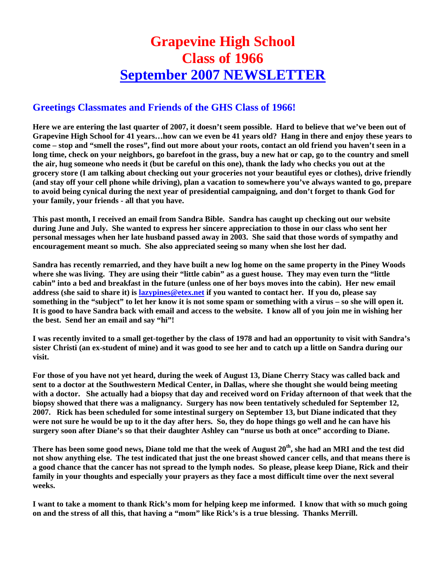## **Grapevine High School Class of 1966 September 2007 NEWSLETTER**

## **Greetings Classmates and Friends of the GHS Class of 1966!**

**Here we are entering the last quarter of 2007, it doesn't seem possible. Hard to believe that we've been out of Grapevine High School for 41 years…how can we even be 41 years old? Hang in there and enjoy these years to come – stop and "smell the roses", find out more about your roots, contact an old friend you haven't seen in a long time, check on your neighbors, go barefoot in the grass, buy a new hat or cap, go to the country and smell the air, hug someone who needs it (but be careful on this one), thank the lady who checks you out at the grocery store (I am talking about checking out your groceries not your beautiful eyes or clothes), drive friendly (and stay off your cell phone while driving), plan a vacation to somewhere you've always wanted to go, prepare to avoid being cynical during the next year of presidential campaigning, and don't forget to thank God for your family, your friends - all that you have.** 

**This past month, I received an email from Sandra Bible. Sandra has caught up checking out our website during June and July. She wanted to express her sincere appreciation to those in our class who sent her personal messages when her late husband passed away in 2003. She said that those words of sympathy and encouragement meant so much. She also appreciated seeing so many when she lost her dad.** 

**Sandra has recently remarried, and they have built a new log home on the same property in the Piney Woods where she was living. They are using their "little cabin" as a guest house. They may even turn the "little cabin" into a bed and breakfast in the future (unless one of her boys moves into the cabin). Her new email address (she said to share it) is lazypines@etex.net if you wanted to contact her. If you do, please say something in the "subject" to let her know it is not some spam or something with a virus – so she will open it. It is good to have Sandra back with email and access to the website. I know all of you join me in wishing her the best. Send her an email and say "hi"!** 

**I was recently invited to a small get-together by the class of 1978 and had an opportunity to visit with Sandra's sister Christi (an ex-student of mine) and it was good to see her and to catch up a little on Sandra during our visit.** 

**For those of you have not yet heard, during the week of August 13, Diane Cherry Stacy was called back and sent to a doctor at the Southwestern Medical Center, in Dallas, where she thought she would being meeting with a doctor. She actually had a biopsy that day and received word on Friday afternoon of that week that the biopsy showed that there was a malignancy. Surgery has now been tentatively scheduled for September 12, 2007. Rick has been scheduled for some intestinal surgery on September 13, but Diane indicated that they were not sure he would be up to it the day after hers. So, they do hope things go well and he can have his surgery soon after Diane's so that their daughter Ashley can "nurse us both at once" according to Diane.** 

There has been some good news, Diane told me that the week of August 20<sup>th</sup>, she had an MRI and the test did **not show anything else. The test indicated that just the one breast showed cancer cells, and that means there is a good chance that the cancer has not spread to the lymph nodes. So please, please keep Diane, Rick and their family in your thoughts and especially your prayers as they face a most difficult time over the next several weeks.** 

**I want to take a moment to thank Rick's mom for helping keep me informed. I know that with so much going on and the stress of all this, that having a "mom" like Rick's is a true blessing. Thanks Merrill.**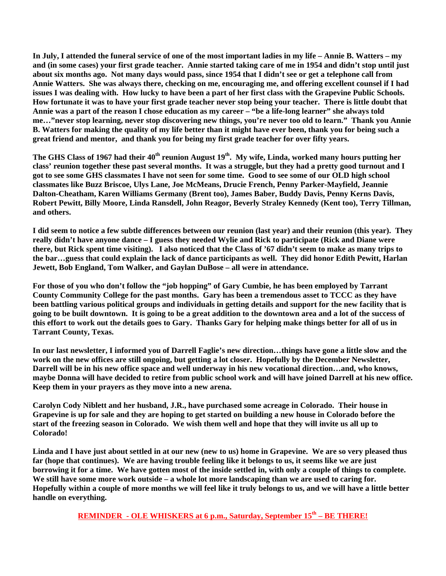**In July, I attended the funeral service of one of the most important ladies in my life – Annie B. Watters – my and (in some cases) your first grade teacher. Annie started taking care of me in 1954 and didn't stop until just about six months ago. Not many days would pass, since 1954 that I didn't see or get a telephone call from Annie Watters. She was always there, checking on me, encouraging me, and offering excellent counsel if I had issues I was dealing with. How lucky to have been a part of her first class with the Grapevine Public Schools. How fortunate it was to have your first grade teacher never stop being your teacher. There is little doubt that Annie was a part of the reason I chose education as my career – "be a life-long learner" she always told me…"never stop learning, never stop discovering new things, you're never too old to learn." Thank you Annie B. Watters for making the quality of my life better than it might have ever been, thank you for being such a great friend and mentor, and thank you for being my first grade teacher for over fifty years.** 

The GHS Class of 1967 had their 40<sup>th</sup> reunion August 19<sup>th</sup>. My wife, Linda, worked many hours putting her **class' reunion together these past several months. It was a struggle, but they had a pretty good turnout and I got to see some GHS classmates I have not seen for some time. Good to see some of our OLD high school classmates like Buzz Briscoe, Ulys Lane, Joe McMeans, Drucie French, Penny Parker-Mayfield, Jeannie Dalton-Cheatham, Karen Williams Germany (Brent too), James Baber, Buddy Davis, Penny Kerns Davis, Robert Pewitt, Billy Moore, Linda Ransdell, John Reagor, Beverly Straley Kennedy (Kent too), Terry Tillman, and others.** 

**I did seem to notice a few subtle differences between our reunion (last year) and their reunion (this year). They really didn't have anyone dance – I guess they needed Wylie and Rick to participate (Rick and Diane were there, but Rick spent time visiting). I also noticed that the Class of '67 didn't seem to make as many trips to the bar…guess that could explain the lack of dance participants as well. They did honor Edith Pewitt, Harlan Jewett, Bob England, Tom Walker, and Gaylan DuBose – all were in attendance.** 

**For those of you who don't follow the "job hopping" of Gary Cumbie, he has been employed by Tarrant County Community College for the past months. Gary has been a tremendous asset to TCCC as they have been battling various political groups and individuals in getting details and support for the new facility that is going to be built downtown. It is going to be a great addition to the downtown area and a lot of the success of this effort to work out the details goes to Gary. Thanks Gary for helping make things better for all of us in Tarrant County, Texas.** 

**In our last newsletter, I informed you of Darrell Faglie's new direction…things have gone a little slow and the work on the new offices are still ongoing, but getting a lot closer. Hopefully by the December Newsletter, Darrell will be in his new office space and well underway in his new vocational direction…and, who knows, maybe Donna will have decided to retire from public school work and will have joined Darrell at his new office. Keep them in your prayers as they move into a new arena.** 

**Carolyn Cody Niblett and her husband, J.R., have purchased some acreage in Colorado. Their house in Grapevine is up for sale and they are hoping to get started on building a new house in Colorado before the start of the freezing season in Colorado. We wish them well and hope that they will invite us all up to Colorado!** 

**Linda and I have just about settled in at our new (new to us) home in Grapevine. We are so very pleased thus far (hope that continues). We are having trouble feeling like it belongs to us, it seems like we are just borrowing it for a time. We have gotten most of the inside settled in, with only a couple of things to complete. We still have some more work outside – a whole lot more landscaping than we are used to caring for. Hopefully within a couple of more months we will feel like it truly belongs to us, and we will have a little better handle on everything.** 

**REMINDER - OLE WHISKERS at 6 p.m., Saturday, September 15<sup>th</sup> – BE THERE!**